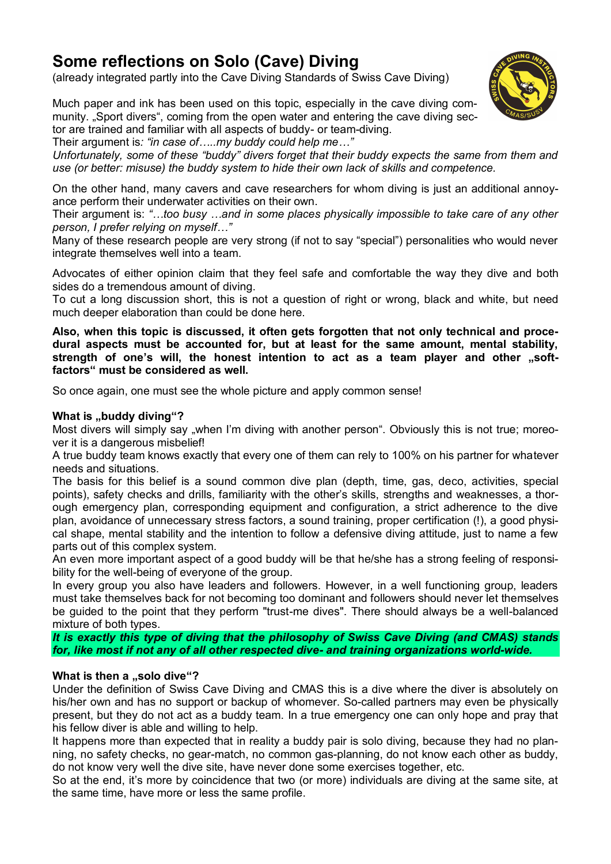# **Some reflections on Solo (Cave) Diving**

(already integrated partly into the Cave Diving Standards of Swiss Cave Diving)

Much paper and ink has been used on this topic, especially in the cave diving community. "Sport divers", coming from the open water and entering the cave diving sector are trained and familiar with all aspects of buddy- or team-diving.

Their argument is*: "in case of…..my buddy could help me…"*

*Unfortunately, some of these "buddy" divers forget that their buddy expects the same from them and use (or better: misuse) the buddy system to hide their own lack of skills and competence.*

On the other hand, many cavers and cave researchers for whom diving is just an additional annoyance perform their underwater activities on their own.

Their argument is: *"…too busy …and in some places physically impossible to take care of any other person, I prefer relying on myself…"*

Many of these research people are very strong (if not to say "special") personalities who would never integrate themselves well into a team.

Advocates of either opinion claim that they feel safe and comfortable the way they dive and both sides do a tremendous amount of diving.

To cut a long discussion short, this is not a question of right or wrong, black and white, but need much deeper elaboration than could be done here.

**Also, when this topic is discussed, it often gets forgotten that not only technical and procedural aspects must be accounted for, but at least for the same amount, mental stability,**  strength of one's will, the honest intention to act as a team player and other "soft**factors" must be considered as well.**

So once again, one must see the whole picture and apply common sense!

### **What is "buddy diving"?**

Most divers will simply say "when I'm diving with another person". Obviously this is not true; moreover it is a dangerous misbelief!

A true buddy team knows exactly that every one of them can rely to 100% on his partner for whatever needs and situations.

The basis for this belief is a sound common dive plan (depth, time, gas, deco, activities, special points), safety checks and drills, familiarity with the other's skills, strengths and weaknesses, a thorough emergency plan, corresponding equipment and configuration, a strict adherence to the dive plan, avoidance of unnecessary stress factors, a sound training, proper certification (!), a good physical shape, mental stability and the intention to follow a defensive diving attitude, just to name a few parts out of this complex system.

An even more important aspect of a good buddy will be that he/she has a strong feeling of responsibility for the well-being of everyone of the group.

In every group you also have leaders and followers. However, in a well functioning group, leaders must take themselves back for not becoming too dominant and followers should never let themselves be guided to the point that they perform "trust-me dives". There should always be a well-balanced mixture of both types.

*It is exactly this type of diving that the philosophy of Swiss Cave Diving (and CMAS) stands for, like most if not any of all other respected dive- and training organizations world-wide.*

### **What is then a .,solo dive "?**

Under the definition of Swiss Cave Diving and CMAS this is a dive where the diver is absolutely on his/her own and has no support or backup of whomever. So-called partners may even be physically present, but they do not act as a buddy team. In a true emergency one can only hope and pray that his fellow diver is able and willing to help.

It happens more than expected that in reality a buddy pair is solo diving, because they had no planning, no safety checks, no gear-match, no common gas-planning, do not know each other as buddy, do not know very well the dive site, have never done some exercises together, etc.

So at the end, it's more by coincidence that two (or more) individuals are diving at the same site, at the same time, have more or less the same profile.

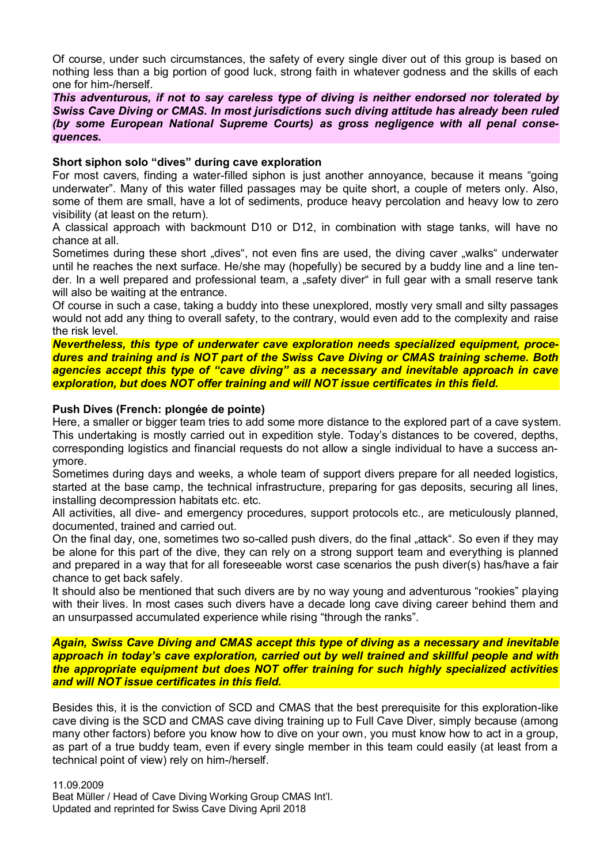Of course, under such circumstances, the safety of every single diver out of this group is based on nothing less than a big portion of good luck, strong faith in whatever godness and the skills of each one for him-/herself.

*This adventurous, if not to say careless type of diving is neither endorsed nor tolerated by Swiss Cave Diving or CMAS. In most jurisdictions such diving attitude has already been ruled (by some European National Supreme Courts) as gross negligence with all penal consequences.*

#### **Short siphon solo "dives" during cave exploration**

For most cavers, finding a water-filled siphon is just another annoyance, because it means "going underwater". Many of this water filled passages may be quite short, a couple of meters only. Also, some of them are small, have a lot of sediments, produce heavy percolation and heavy low to zero visibility (at least on the return).

A classical approach with backmount D10 or D12, in combination with stage tanks, will have no chance at all.

Sometimes during these short "dives", not even fins are used, the diving caver "walks" underwater until he reaches the next surface. He/she may (hopefully) be secured by a buddy line and a line tender. In a well prepared and professional team, a "safety diver" in full gear with a small reserve tank will also be waiting at the entrance.

Of course in such a case, taking a buddy into these unexplored, mostly very small and silty passages would not add any thing to overall safety, to the contrary, would even add to the complexity and raise the risk level.

*Nevertheless, this type of underwater cave exploration needs specialized equipment, procedures and training and is NOT part of the Swiss Cave Diving or CMAS training scheme. Both agencies accept this type of "cave diving" as a necessary and inevitable approach in cave exploration, but does NOT offer training and will NOT issue certificates in this field.*

#### **Push Dives (French: plongée de pointe)**

Here, a smaller or bigger team tries to add some more distance to the explored part of a cave system. This undertaking is mostly carried out in expedition style. Today's distances to be covered, depths, corresponding logistics and financial requests do not allow a single individual to have a success anymore.

Sometimes during days and weeks, a whole team of support divers prepare for all needed logistics, started at the base camp, the technical infrastructure, preparing for gas deposits, securing all lines, installing decompression habitats etc. etc.

All activities, all dive- and emergency procedures, support protocols etc., are meticulously planned, documented, trained and carried out.

On the final day, one, sometimes two so-called push divers, do the final "attack". So even if they may be alone for this part of the dive, they can rely on a strong support team and everything is planned and prepared in a way that for all foreseeable worst case scenarios the push diver(s) has/have a fair chance to get back safely.

It should also be mentioned that such divers are by no way young and adventurous "rookies" playing with their lives. In most cases such divers have a decade long cave diving career behind them and an unsurpassed accumulated experience while rising "through the ranks".

*Again, Swiss Cave Diving and CMAS accept this type of diving as a necessary and inevitable approach in today's cave exploration, carried out by well trained and skillful people and with the appropriate equipment but does NOT offer training for such highly specialized activities and will NOT issue certificates in this field.*

Besides this, it is the conviction of SCD and CMAS that the best prerequisite for this exploration-like cave diving is the SCD and CMAS cave diving training up to Full Cave Diver, simply because (among many other factors) before you know how to dive on your own, you must know how to act in a group, as part of a true buddy team, even if every single member in this team could easily (at least from a technical point of view) rely on him-/herself.

11.09.2009 Beat Müller / Head of Cave Diving Working Group CMAS Int'l. Updated and reprinted for Swiss Cave Diving April 2018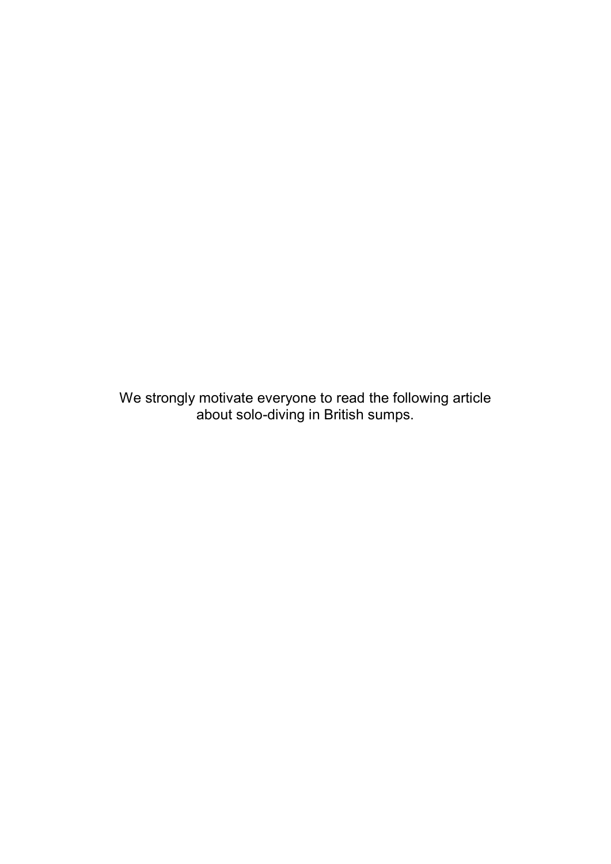We strongly motivate everyone to read the following article about solo-diving in British sumps.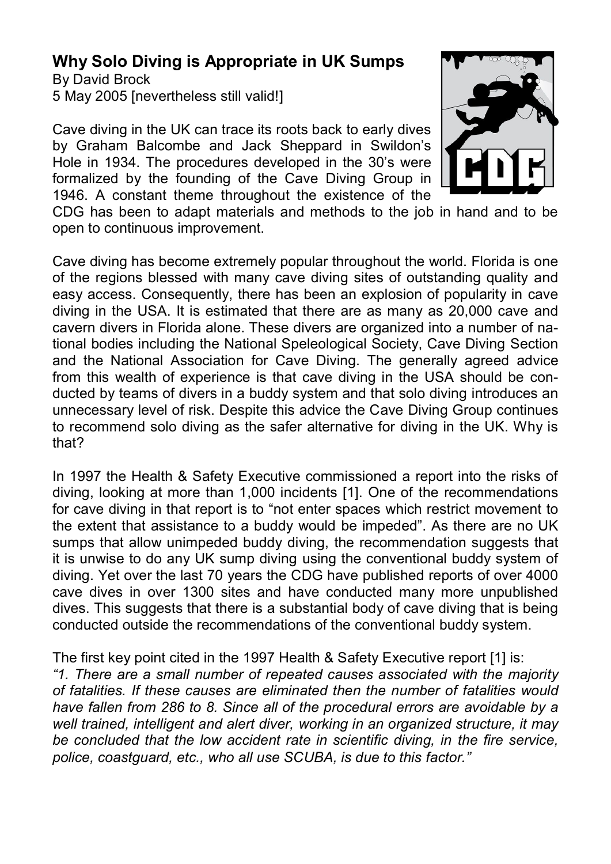# **Why Solo Diving is Appropriate in UK Sumps**

By David Brock 5 May 2005 [nevertheless still valid!]

Cave diving in the UK can trace its roots back to early dives by Graham Balcombe and Jack Sheppard in Swildon's Hole in 1934. The procedures developed in the 30's were formalized by the founding of the Cave Diving Group in 1946. A constant theme throughout the existence of the



CDG has been to adapt materials and methods to the job in hand and to be open to continuous improvement.

Cave diving has become extremely popular throughout the world. Florida is one of the regions blessed with many cave diving sites of outstanding quality and easy access. Consequently, there has been an explosion of popularity in cave diving in the USA. It is estimated that there are as many as 20,000 cave and cavern divers in Florida alone. These divers are organized into a number of national bodies including the National Speleological Society, Cave Diving Section and the National Association for Cave Diving. The generally agreed advice from this wealth of experience is that cave diving in the USA should be conducted by teams of divers in a buddy system and that solo diving introduces an unnecessary level of risk. Despite this advice the Cave Diving Group continues to recommend solo diving as the safer alternative for diving in the UK. Why is that?

In 1997 the Health & Safety Executive commissioned a report into the risks of diving, looking at more than 1,000 incidents [1]. One of the recommendations for cave diving in that report is to "not enter spaces which restrict movement to the extent that assistance to a buddy would be impeded". As there are no UK sumps that allow unimpeded buddy diving, the recommendation suggests that it is unwise to do any UK sump diving using the conventional buddy system of diving. Yet over the last 70 years the CDG have published reports of over 4000 cave dives in over 1300 sites and have conducted many more unpublished dives. This suggests that there is a substantial body of cave diving that is being conducted outside the recommendations of the conventional buddy system.

The first key point cited in the 1997 Health & Safety Executive report [1] is: *"1. There are a small number of repeated causes associated with the majority of fatalities. If these causes are eliminated then the number of fatalities would have fallen from 286 to 8. Since all of the procedural errors are avoidable by a well trained, intelligent and alert diver, working in an organized structure, it may be concluded that the low accident rate in scientific diving, in the fire service, police, coastguard, etc., who all use SCUBA, is due to this factor."*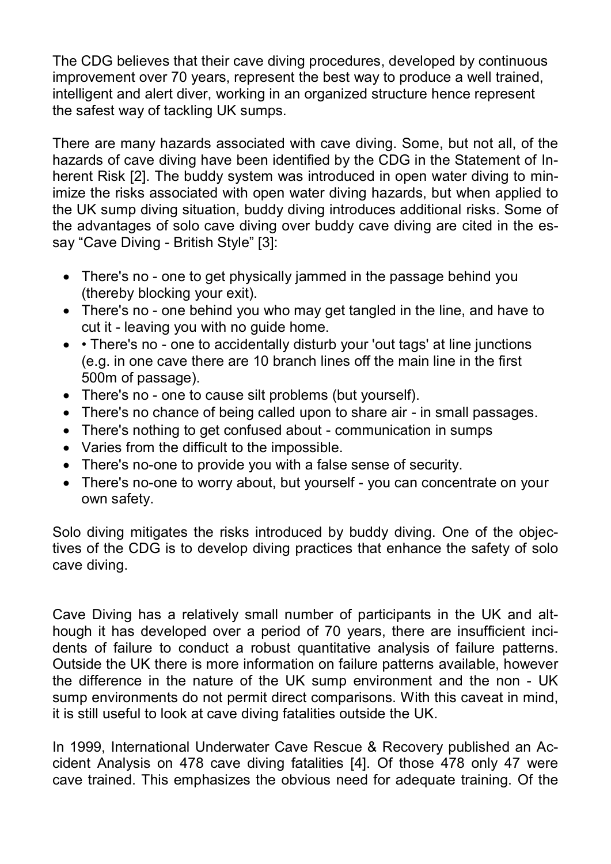The CDG believes that their cave diving procedures, developed by continuous improvement over 70 years, represent the best way to produce a well trained, intelligent and alert diver, working in an organized structure hence represent the safest way of tackling UK sumps.

There are many hazards associated with cave diving. Some, but not all, of the hazards of cave diving have been identified by the CDG in the Statement of Inherent Risk [2]. The buddy system was introduced in open water diving to minimize the risks associated with open water diving hazards, but when applied to the UK sump diving situation, buddy diving introduces additional risks. Some of the advantages of solo cave diving over buddy cave diving are cited in the essay "Cave Diving - British Style" [3]:

- There's no one to get physically jammed in the passage behind you (thereby blocking your exit).
- There's no one behind you who may get tangled in the line, and have to cut it - leaving you with no guide home.
- There's no one to accidentally disturb your 'out tags' at line junctions (e.g. in one cave there are 10 branch lines off the main line in the first 500m of passage).
- There's no one to cause silt problems (but yourself).
- There's no chance of being called upon to share air in small passages.
- There's nothing to get confused about communication in sumps
- Varies from the difficult to the impossible.
- There's no-one to provide you with a false sense of security.
- There's no-one to worry about, but yourself you can concentrate on your own safety.

Solo diving mitigates the risks introduced by buddy diving. One of the objectives of the CDG is to develop diving practices that enhance the safety of solo cave diving.

Cave Diving has a relatively small number of participants in the UK and although it has developed over a period of 70 years, there are insufficient incidents of failure to conduct a robust quantitative analysis of failure patterns. Outside the UK there is more information on failure patterns available, however the difference in the nature of the UK sump environment and the non - UK sump environments do not permit direct comparisons. With this caveat in mind, it is still useful to look at cave diving fatalities outside the UK.

In 1999, International Underwater Cave Rescue & Recovery published an Accident Analysis on 478 cave diving fatalities [4]. Of those 478 only 47 were cave trained. This emphasizes the obvious need for adequate training. Of the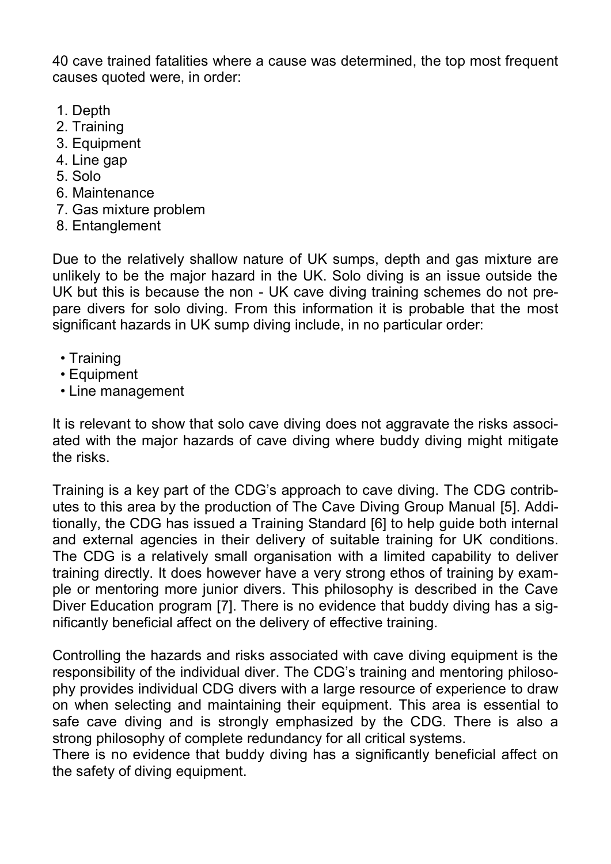40 cave trained fatalities where a cause was determined, the top most frequent causes quoted were, in order:

- 1. Depth
- 2. Training
- 3. Equipment
- 4. Line gap
- 5. Solo
- 6. Maintenance
- 7. Gas mixture problem
- 8. Entanglement

Due to the relatively shallow nature of UK sumps, depth and gas mixture are unlikely to be the major hazard in the UK. Solo diving is an issue outside the UK but this is because the non - UK cave diving training schemes do not prepare divers for solo diving. From this information it is probable that the most significant hazards in UK sump diving include, in no particular order:

- Training
- Equipment
- Line management

It is relevant to show that solo cave diving does not aggravate the risks associated with the major hazards of cave diving where buddy diving might mitigate the risks.

Training is a key part of the CDG's approach to cave diving. The CDG contributes to this area by the production of The Cave Diving Group Manual [5]. Additionally, the CDG has issued a Training Standard [6] to help guide both internal and external agencies in their delivery of suitable training for UK conditions. The CDG is a relatively small organisation with a limited capability to deliver training directly. It does however have a very strong ethos of training by example or mentoring more junior divers. This philosophy is described in the Cave Diver Education program [7]. There is no evidence that buddy diving has a significantly beneficial affect on the delivery of effective training.

Controlling the hazards and risks associated with cave diving equipment is the responsibility of the individual diver. The CDG's training and mentoring philosophy provides individual CDG divers with a large resource of experience to draw on when selecting and maintaining their equipment. This area is essential to safe cave diving and is strongly emphasized by the CDG. There is also a strong philosophy of complete redundancy for all critical systems.

There is no evidence that buddy diving has a significantly beneficial affect on the safety of diving equipment.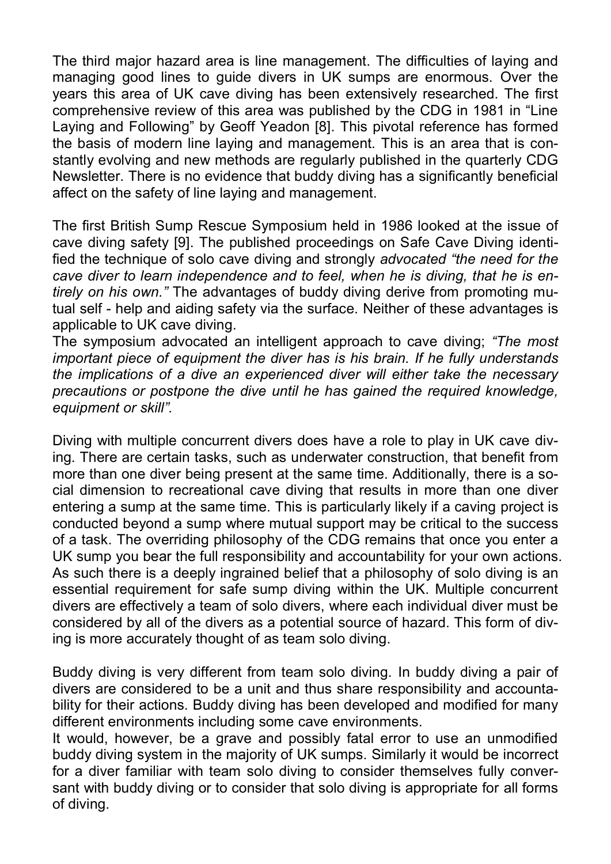The third major hazard area is line management. The difficulties of laying and managing good lines to guide divers in UK sumps are enormous. Over the years this area of UK cave diving has been extensively researched. The first comprehensive review of this area was published by the CDG in 1981 in "Line Laying and Following" by Geoff Yeadon [8]. This pivotal reference has formed the basis of modern line laying and management. This is an area that is constantly evolving and new methods are regularly published in the quarterly CDG Newsletter. There is no evidence that buddy diving has a significantly beneficial affect on the safety of line laying and management.

The first British Sump Rescue Symposium held in 1986 looked at the issue of cave diving safety [9]. The published proceedings on Safe Cave Diving identified the technique of solo cave diving and strongly *advocated "the need for the cave diver to learn independence and to feel, when he is diving, that he is entirely on his own."* The advantages of buddy diving derive from promoting mutual self - help and aiding safety via the surface. Neither of these advantages is applicable to UK cave diving.

The symposium advocated an intelligent approach to cave diving; *"The most important piece of equipment the diver has is his brain. If he fully understands the implications of a dive an experienced diver will either take the necessary precautions or postpone the dive until he has gained the required knowledge, equipment or skill".*

Diving with multiple concurrent divers does have a role to play in UK cave diving. There are certain tasks, such as underwater construction, that benefit from more than one diver being present at the same time. Additionally, there is a social dimension to recreational cave diving that results in more than one diver entering a sump at the same time. This is particularly likely if a caving project is conducted beyond a sump where mutual support may be critical to the success of a task. The overriding philosophy of the CDG remains that once you enter a UK sump you bear the full responsibility and accountability for your own actions. As such there is a deeply ingrained belief that a philosophy of solo diving is an essential requirement for safe sump diving within the UK. Multiple concurrent divers are effectively a team of solo divers, where each individual diver must be considered by all of the divers as a potential source of hazard. This form of diving is more accurately thought of as team solo diving.

Buddy diving is very different from team solo diving. In buddy diving a pair of divers are considered to be a unit and thus share responsibility and accountability for their actions. Buddy diving has been developed and modified for many different environments including some cave environments.

It would, however, be a grave and possibly fatal error to use an unmodified buddy diving system in the majority of UK sumps. Similarly it would be incorrect for a diver familiar with team solo diving to consider themselves fully conversant with buddy diving or to consider that solo diving is appropriate for all forms of diving.